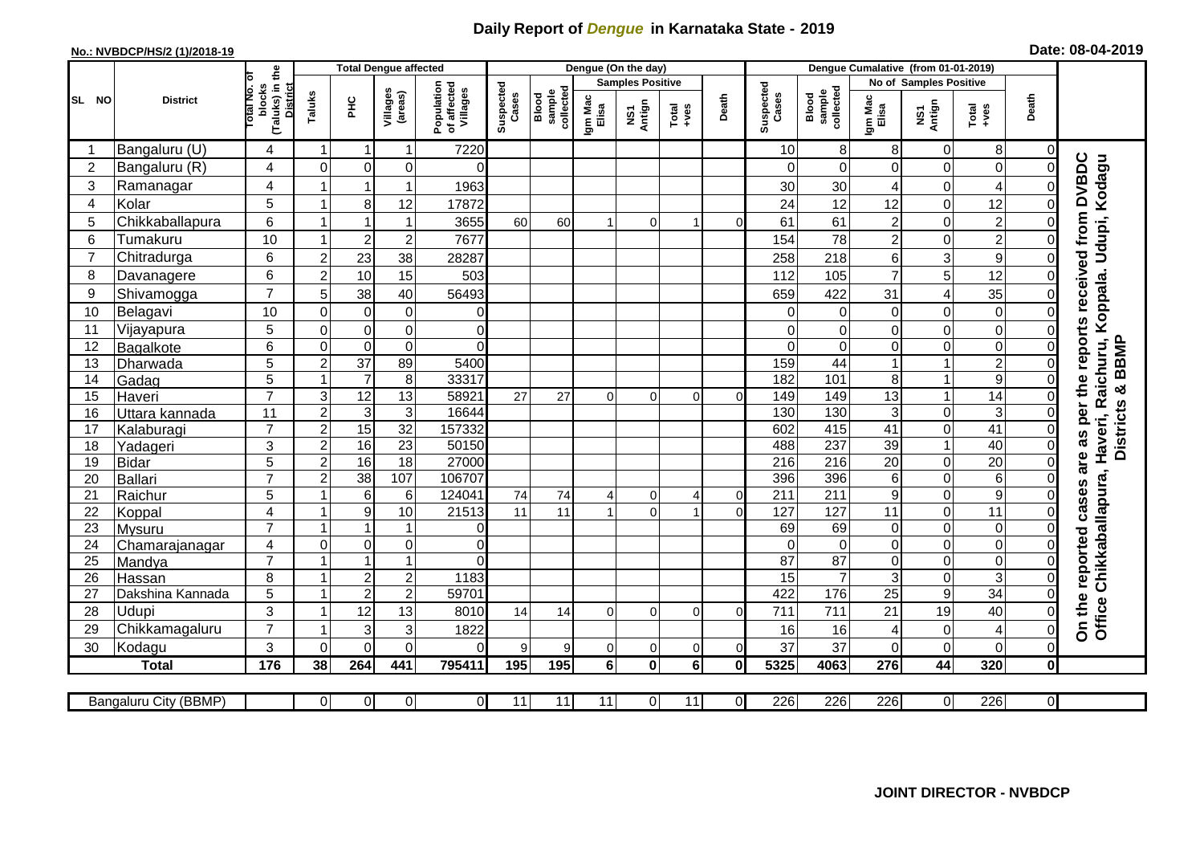## **Daily Report of** *Dengue* **in Karnataka State - 2019**

## **No.: NVBDCP/HS/2 (1)/2018-19 Date: 08-04-2019**

|                |                       |                                                      |                                           | <b>Total Dengue affected</b> |                                       |                    |                              |                  |                         | Dengue (On the day) |                |                    |                              |                  |                  |                                                                       |                         |                |                                                                                          |
|----------------|-----------------------|------------------------------------------------------|-------------------------------------------|------------------------------|---------------------------------------|--------------------|------------------------------|------------------|-------------------------|---------------------|----------------|--------------------|------------------------------|------------------|------------------|-----------------------------------------------------------------------|-------------------------|----------------|------------------------------------------------------------------------------------------|
| SL NO          |                       |                                                      |                                           |                              |                                       |                    |                              |                  | <b>Samples Positive</b> |                     |                |                    |                              |                  |                  | No of Samples Positive                                                |                         |                |                                                                                          |
|                | <b>District</b>       | (Taluks) in the<br>District<br>otal No. ol<br>blocks | Villages<br>(areas)<br>Taluks<br>ЭHС      |                              | Population<br>of affected<br>Villages | Suspected<br>Cases | Blood<br>sample<br>collected | Igm Mac<br>Elisa | Antign<br>Σń            | Total<br>$+ve$ s    | Death          | Suspected<br>Cases | collected<br>sample<br>Blood | Igm Mac<br>Elisa | NS1<br>Antign    | Death<br>$\begin{array}{c}\n\text{Total} \\ \text{Area}\n\end{array}$ |                         |                |                                                                                          |
|                | Bangaluru (U)         | 4                                                    | $\overline{1}$                            | -1                           | $\mathbf 1$                           | 7220               |                              |                  |                         |                     |                |                    | 10                           | 8                | 8                | 0                                                                     | 8                       | $\Omega$       |                                                                                          |
| $\overline{2}$ | Bangaluru (R)         | 4                                                    | $\Omega$                                  | $\mathbf 0$                  | 0                                     | $\Omega$           |                              |                  |                         |                     |                |                    | $\Omega$                     | $\Omega$         | $\Omega$         | 0                                                                     | $\overline{0}$          | $\Omega$       |                                                                                          |
| 3              | Ramanagar             | $\overline{4}$                                       |                                           | $\overline{1}$               | $\mathbf{1}$                          | 1963               |                              |                  |                         |                     |                |                    | 30                           | 30               | 4                | 0                                                                     | 4                       | 0              | reports received from DVBDC<br>Chikkaballapura, Haveri, Raichuru, Koppala. Udupi, Kodagu |
| $\overline{4}$ | Kolar                 | 5                                                    | 1                                         | 8                            | 12                                    | 17872              |                              |                  |                         |                     |                |                    | 24                           | 12               | 12               | 0                                                                     | 12                      | $\mathbf 0$    |                                                                                          |
| 5              | Chikkaballapura       | 6                                                    |                                           |                              | $\mathbf{1}$                          | 3655               | 60                           | 60               |                         | $\Omega$            |                | C                  | 61                           | 61               | $\overline{c}$   | 0                                                                     | $\overline{\mathbf{c}}$ | $\mathbf 0$    |                                                                                          |
| 6              | Tumakuru              | 10                                                   |                                           | $\overline{2}$               | $\overline{c}$                        | 7677               |                              |                  |                         |                     |                |                    | 154                          | 78               | $\overline{c}$   | 0                                                                     | $\overline{2}$          | $\Omega$       |                                                                                          |
| $\overline{7}$ | Chitradurga           | 6                                                    | $\overline{2}$                            | $\overline{23}$              | 38                                    | 28287              |                              |                  |                         |                     |                |                    | 258                          | 218              | 6                | 3                                                                     | $\mathsf g$             | $\mathbf 0$    |                                                                                          |
| 8              | Davanagere            | 6                                                    | $\overline{2}$                            | 10                           | 15                                    | 503                |                              |                  |                         |                     |                |                    | 112                          | 105              | $\overline{7}$   | 5                                                                     | 12                      | $\mathbf 0$    |                                                                                          |
| 9              | Shivamogga            | $\overline{7}$                                       | 5                                         | 38                           | 40                                    | 56493              |                              |                  |                         |                     |                |                    | 659                          | 422              | 31               | 4                                                                     | 35                      | $\Omega$       |                                                                                          |
| 10             | Belagavi              | 10                                                   | $\mathbf 0$                               | $\pmb{0}$                    | $\pmb{0}$                             | $\Omega$           |                              |                  |                         |                     |                |                    | $\mathbf 0$                  | 0                | 0                | 0                                                                     | $\mathsf{O}\xspace$     | 0              |                                                                                          |
| 11             | Vijayapura            | 5                                                    | $\mathbf 0$                               | $\pmb{0}$                    | $\mathsf 0$                           | $\overline{0}$     |                              |                  |                         |                     |                |                    | $\Omega$                     | $\Omega$         | 0                | 0                                                                     | o                       | $\mathbf 0$    |                                                                                          |
| 12             | Bagalkote             | 6                                                    | $\mathbf 0$                               | $\mathbf 0$                  | $\overline{0}$                        | $\overline{0}$     |                              |                  |                         |                     |                |                    | $\Omega$                     | $\Omega$         | 0                | 0                                                                     | O                       | $\mathbf 0$    | & BBMP                                                                                   |
| 13             | Dharwada              | 5                                                    | $\overline{c}$                            | $\overline{37}$              | 89                                    | 5400               |                              |                  |                         |                     |                |                    | 159                          | $\overline{44}$  |                  | $\overline{1}$                                                        | $\overline{2}$          | $\Omega$       |                                                                                          |
| 14             | Gadag                 | $\overline{5}$                                       | -1                                        | $\overline{7}$               | $\overline{8}$                        | 33317              |                              |                  |                         |                     |                |                    | 182                          | 101              | 8                | $\mathbf{1}$                                                          | 9                       | $\mathbf 0$    |                                                                                          |
| 15             | Haveri                | $\overline{7}$                                       | $\ensuremath{\mathsf{3}}$                 | 12                           | $\overline{13}$                       | 58921              | 27                           | 27               | $\Omega$                | $\Omega$            | $\Omega$       | ∩                  | 149                          | 149              | 13               | $\mathbf{1}$                                                          | $\overline{14}$         | $\mathbf 0$    |                                                                                          |
| 16             | Uttara kannada        | 11                                                   | $\overline{2}$                            | $\mathbf{3}$                 | $\overline{3}$                        | 16644              |                              |                  |                         |                     |                |                    | 130                          | 130              | 3                | 0                                                                     | ω                       | $\Omega$       | per the<br><b>Districts</b>                                                              |
| 17             | Kalaburagi            | $\overline{7}$                                       | $\overline{c}$                            | 15                           | $\overline{32}$                       | 157332             |                              |                  |                         |                     |                |                    | 602                          | 415              | 41               | 0                                                                     | $\overline{41}$         | $\mathbf 0$    | as                                                                                       |
| 18             | Yadageri              | 3                                                    | $\overline{c}$                            | 16                           | 23                                    | 50150              |                              |                  |                         |                     |                |                    | 488                          | 237              | 39               | $\mathbf{1}$                                                          | 40                      | $\mathbf 0$    |                                                                                          |
| 19             | <b>Bidar</b>          | 5                                                    | $\boldsymbol{2}$                          | 16                           | 18                                    | 27000              |                              |                  |                         |                     |                |                    | 216                          | 216              | 20               | 0                                                                     | 20                      | $\mathbf 0$    | are                                                                                      |
| 20             | <b>Ballari</b>        | $\overline{7}$                                       | $\overline{2}$                            | 38                           | 107                                   | 106707             |                              |                  |                         |                     |                |                    | 396                          | 396              | 6                | 0                                                                     | $\overline{6}$          | $\Omega$       |                                                                                          |
| 21             | Raichur               | 5                                                    |                                           | $\,6$                        | $\,6\,$                               | 124041             | 74                           | 74               | 4                       | 0                   | 4              | $\Omega$           | 211                          | $\overline{211}$ | 9                | 0                                                                     | 9                       | $\Omega$       | cases                                                                                    |
| 22             | Koppal                | 4                                                    |                                           | 9                            | 10                                    | 21513              | 11                           | 11               |                         | $\Omega$            |                | $\Omega$           | 127                          | 127              | 11               | $\mathbf 0$                                                           | $\overline{11}$         | $\Omega$       |                                                                                          |
| 23             | Mysuru                | $\overline{7}$                                       | -1                                        | $\overline{1}$               | $\mathbf{1}$                          | $\overline{0}$     |                              |                  |                         |                     |                |                    | 69                           | 69               | 0                | 0                                                                     | $\overline{0}$          | $\mathbf 0$    |                                                                                          |
| 24             | Chamarajanagar        | 4                                                    | $\mathbf 0$                               | $\pmb{0}$                    | $\overline{0}$                        | $\overline{0}$     |                              |                  |                         |                     |                |                    | $\Omega$                     | $\mathbf 0$      | $\mathbf 0$      | 0                                                                     | $\overline{0}$          | $\mathbf 0$    | reported                                                                                 |
| 25             | Mandya                | $\overline{7}$                                       |                                           | $\overline{1}$               | $\overline{1}$                        | $\overline{0}$     |                              |                  |                         |                     |                |                    | $\overline{87}$              | 87               | 0                | 0                                                                     | $\overline{0}$          | $\mathbf 0$    |                                                                                          |
| 26             | Hassan                | 8                                                    | $\overline{\mathbf{1}}$<br>$\overline{1}$ | $\sqrt{2}$                   | $\boldsymbol{2}$                      | 1183               |                              |                  |                         |                     |                |                    | 15                           | $\overline{7}$   | 3                | 0                                                                     | ω                       | $\mathbf 0$    |                                                                                          |
| 27             | Dakshina Kannada      | 5                                                    |                                           | $\overline{2}$               | $\overline{2}$                        | 59701              |                              |                  |                         |                     |                |                    | 422                          | 176              | 25               | $\overline{9}$                                                        | 34                      | $\overline{0}$ |                                                                                          |
| 28             | Udupi                 | 3<br>$\overline{7}$                                  |                                           | 12                           | 13                                    | 8010               | 14                           | 14               | 0                       | $\Omega$            | $\Omega$       | U                  | 711                          | 711              | 21               | 19                                                                    | 40                      | $\Omega$       | On the<br><b>Office</b>                                                                  |
| 29             | Chikkamagaluru        |                                                      |                                           | 3                            | 3                                     | 1822               |                              |                  |                         |                     |                |                    | 16                           | 16               | 4                | 0                                                                     | 4                       | $\mathbf 0$    |                                                                                          |
| 30             | Kodagu                | 3                                                    | $\Omega$                                  | $\Omega$                     | 0                                     | $\Omega$           | 9                            | 9                | 0                       | 0                   | $\overline{0}$ | $\Omega$           | 37                           | 37               | $\Omega$         | 0                                                                     | $\overline{0}$          | $\Omega$       |                                                                                          |
|                | <b>Total</b>          | 176                                                  | 38                                        | 264                          | 441                                   | 795411             | 195                          | 195              | 6                       | $\bf{0}$            | 6 <sup>1</sup> | $\mathbf{0}$       | 5325                         | 4063             | 276              | 44                                                                    | 320                     | $\bf{0}$       |                                                                                          |
|                | Bangaluru City (BBMP) |                                                      | $\Omega$                                  | $\overline{0}$               | οl                                    | $\overline{0}$     | 11                           | $\overline{11}$  | 11                      | $\Omega$            | 11             | $\overline{0}$     | 226                          | 226              | $\overline{226}$ | 0                                                                     | 226                     | $\overline{0}$ |                                                                                          |